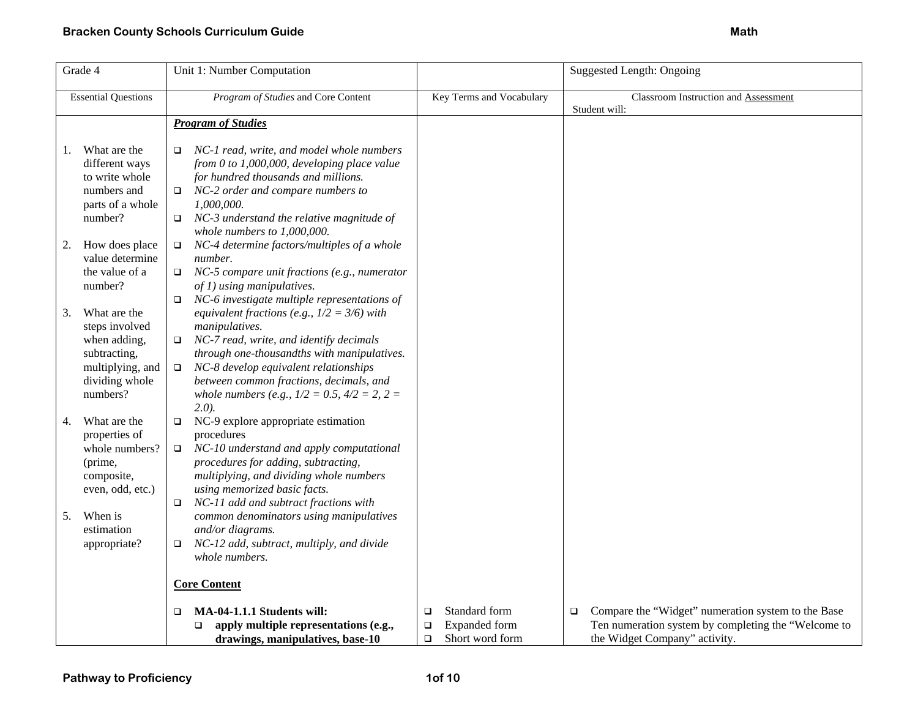| Grade 4 |                                                                                                                  | Unit 1: Number Computation                                                                                                                                                                                                                                                                                                             |                                                                                 | <b>Suggested Length: Ongoing</b>                                                                                                                     |
|---------|------------------------------------------------------------------------------------------------------------------|----------------------------------------------------------------------------------------------------------------------------------------------------------------------------------------------------------------------------------------------------------------------------------------------------------------------------------------|---------------------------------------------------------------------------------|------------------------------------------------------------------------------------------------------------------------------------------------------|
|         | <b>Essential Questions</b>                                                                                       | Program of Studies and Core Content                                                                                                                                                                                                                                                                                                    | Key Terms and Vocabulary                                                        | Classroom Instruction and Assessment<br>Student will:                                                                                                |
|         |                                                                                                                  | <b>Program of Studies</b>                                                                                                                                                                                                                                                                                                              |                                                                                 |                                                                                                                                                      |
| 1.      | What are the<br>different ways<br>to write whole<br>numbers and<br>parts of a whole<br>number?                   | NC-1 read, write, and model whole numbers<br>$\Box$<br>from 0 to 1,000,000, developing place value<br>for hundred thousands and millions.<br>NC-2 order and compare numbers to<br>$\Box$<br>1,000,000.<br>NC-3 understand the relative magnitude of<br>$\Box$<br>whole numbers to $1,000,000$ .                                        |                                                                                 |                                                                                                                                                      |
| 2.      | How does place<br>value determine<br>the value of a<br>number?                                                   | NC-4 determine factors/multiples of a whole<br>$\Box$<br>number.<br>NC-5 compare unit fractions (e.g., numerator<br>$\Box$<br>$of 1)$ using manipulatives.<br>NC-6 investigate multiple representations of<br>$\Box$                                                                                                                   |                                                                                 |                                                                                                                                                      |
| 3.      | What are the<br>steps involved<br>when adding,<br>subtracting,<br>multiplying, and<br>dividing whole<br>numbers? | equivalent fractions (e.g., $1/2 = 3/6$ ) with<br>manipulatives.<br>NC-7 read, write, and identify decimals<br>$\Box$<br>through one-thousandths with manipulatives.<br>NC-8 develop equivalent relationships<br>$\Box$<br>between common fractions, decimals, and<br>whole numbers (e.g., $1/2 = 0.5$ , $4/2 = 2$ , $2 =$<br>$2.0$ ). |                                                                                 |                                                                                                                                                      |
| 4.      | What are the<br>properties of<br>whole numbers?<br>(prime,<br>composite,<br>even, odd, etc.)                     | NC-9 explore appropriate estimation<br>$\Box$<br>procedures<br>NC-10 understand and apply computational<br>$\Box$<br>procedures for adding, subtracting,<br>multiplying, and dividing whole numbers<br>using memorized basic facts.<br>NC-11 add and subtract fractions with<br>□                                                      |                                                                                 |                                                                                                                                                      |
| 5.      | When is<br>estimation<br>appropriate?                                                                            | common denominators using manipulatives<br>and/or diagrams.<br>NC-12 add, subtract, multiply, and divide<br>□<br>whole numbers.                                                                                                                                                                                                        |                                                                                 |                                                                                                                                                      |
|         |                                                                                                                  | <b>Core Content</b>                                                                                                                                                                                                                                                                                                                    |                                                                                 |                                                                                                                                                      |
|         |                                                                                                                  | MA-04-1.1.1 Students will:<br>$\Box$<br>apply multiple representations (e.g.,<br>$\Box$<br>drawings, manipulatives, base-10                                                                                                                                                                                                            | Standard form<br>$\Box$<br>Expanded form<br>$\Box$<br>Short word form<br>$\Box$ | Compare the "Widget" numeration system to the Base<br>$\Box$<br>Ten numeration system by completing the "Welcome to<br>the Widget Company" activity. |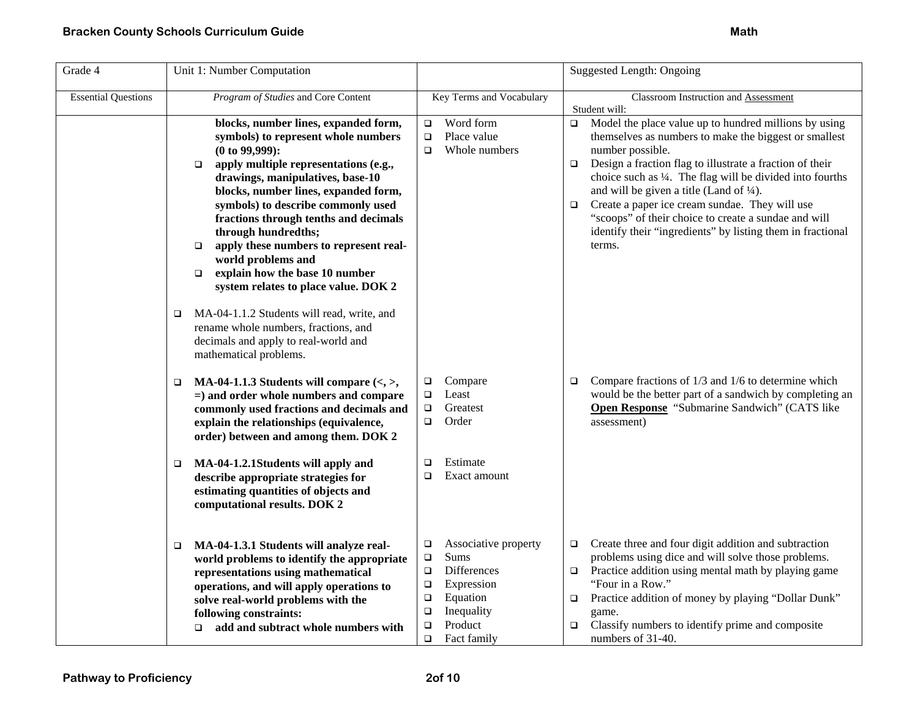| Grade 4                    | Unit 1: Number Computation                                                                                                                                                                                                                                                                                                                                                                                                                                                                                                                                                                                                                                       |                                                                                                                                                                                               | <b>Suggested Length: Ongoing</b>                                                                                                                                                                                                                                                                                                                                                                                                                                                                                                   |
|----------------------------|------------------------------------------------------------------------------------------------------------------------------------------------------------------------------------------------------------------------------------------------------------------------------------------------------------------------------------------------------------------------------------------------------------------------------------------------------------------------------------------------------------------------------------------------------------------------------------------------------------------------------------------------------------------|-----------------------------------------------------------------------------------------------------------------------------------------------------------------------------------------------|------------------------------------------------------------------------------------------------------------------------------------------------------------------------------------------------------------------------------------------------------------------------------------------------------------------------------------------------------------------------------------------------------------------------------------------------------------------------------------------------------------------------------------|
| <b>Essential Questions</b> | Program of Studies and Core Content                                                                                                                                                                                                                                                                                                                                                                                                                                                                                                                                                                                                                              | Key Terms and Vocabulary                                                                                                                                                                      | Classroom Instruction and Assessment<br>Student will:                                                                                                                                                                                                                                                                                                                                                                                                                                                                              |
|                            | blocks, number lines, expanded form,<br>symbols) to represent whole numbers<br>$(0 to 99,999)$ :<br>apply multiple representations (e.g.,<br>$\Box$<br>drawings, manipulatives, base-10<br>blocks, number lines, expanded form,<br>symbols) to describe commonly used<br>fractions through tenths and decimals<br>through hundredths;<br>apply these numbers to represent real-<br>$\Box$<br>world problems and<br>explain how the base 10 number<br>$\Box$<br>system relates to place value. DOK 2<br>MA-04-1.1.2 Students will read, write, and<br>□<br>rename whole numbers, fractions, and<br>decimals and apply to real-world and<br>mathematical problems. | Word form<br>$\Box$<br>$\Box$<br>Place value<br>Whole numbers<br>$\Box$                                                                                                                       | Model the place value up to hundred millions by using<br>$\Box$<br>themselves as numbers to make the biggest or smallest<br>number possible.<br>Design a fraction flag to illustrate a fraction of their<br>$\Box$<br>choice such as 1/4. The flag will be divided into fourths<br>and will be given a title (Land of $\frac{1}{4}$ ).<br>Create a paper ice cream sundae. They will use<br>$\Box$<br>"scoops" of their choice to create a sundae and will<br>identify their "ingredients" by listing them in fractional<br>terms. |
|                            | MA-04-1.1.3 Students will compare $\langle \langle , \rangle$ ,<br>$\Box$<br>$=$ ) and order whole numbers and compare<br>commonly used fractions and decimals and<br>explain the relationships (equivalence,<br>order) between and among them. DOK 2                                                                                                                                                                                                                                                                                                                                                                                                            | Compare<br>$\Box$<br>Least<br>$\Box$<br>Greatest<br>$\Box$<br>$\Box$<br>Order                                                                                                                 | Compare fractions of 1/3 and 1/6 to determine which<br>$\Box$<br>would be the better part of a sandwich by completing an<br>Open Response "Submarine Sandwich" (CATS like<br>assessment)                                                                                                                                                                                                                                                                                                                                           |
|                            | MA-04-1.2.1Students will apply and<br>$\Box$<br>describe appropriate strategies for<br>estimating quantities of objects and<br>computational results. DOK 2                                                                                                                                                                                                                                                                                                                                                                                                                                                                                                      | Estimate<br>□<br>Exact amount<br>$\Box$                                                                                                                                                       |                                                                                                                                                                                                                                                                                                                                                                                                                                                                                                                                    |
|                            | MA-04-1.3.1 Students will analyze real-<br>□<br>world problems to identify the appropriate<br>representations using mathematical<br>operations, and will apply operations to<br>solve real-world problems with the<br>following constraints:<br>add and subtract whole numbers with<br>$\Box$                                                                                                                                                                                                                                                                                                                                                                    | Associative property<br>$\Box$<br>Sums<br>$\Box$<br>Differences<br>$\Box$<br>Expression<br>$\Box$<br>Equation<br>$\Box$<br>Inequality<br>$\Box$<br>$\Box$<br>Product<br>Fact family<br>$\Box$ | Create three and four digit addition and subtraction<br>$\Box$<br>problems using dice and will solve those problems.<br>Practice addition using mental math by playing game<br>$\Box$<br>"Four in a Row."<br>Practice addition of money by playing "Dollar Dunk"<br>$\Box$<br>game.<br>Classify numbers to identify prime and composite<br>$\Box$<br>numbers of 31-40.                                                                                                                                                             |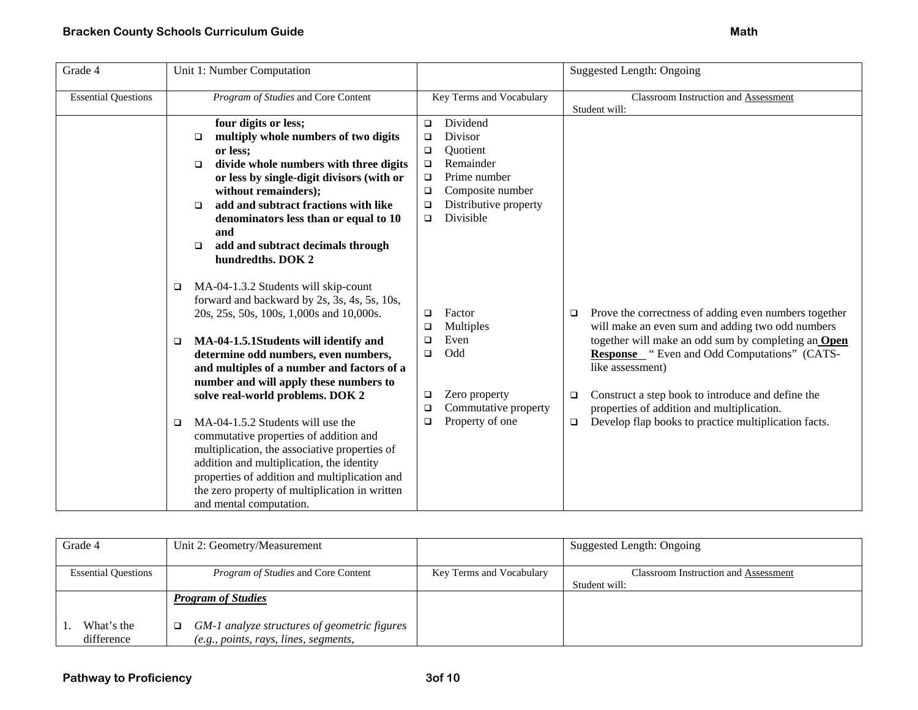| Grade 4                    | Unit 1: Number Computation                                                                                                                                                                                                                                                                                                                                                   |                                                                                                                                                                                                               | <b>Suggested Length: Ongoing</b>                                                                                                                                            |
|----------------------------|------------------------------------------------------------------------------------------------------------------------------------------------------------------------------------------------------------------------------------------------------------------------------------------------------------------------------------------------------------------------------|---------------------------------------------------------------------------------------------------------------------------------------------------------------------------------------------------------------|-----------------------------------------------------------------------------------------------------------------------------------------------------------------------------|
| <b>Essential Questions</b> | Program of Studies and Core Content                                                                                                                                                                                                                                                                                                                                          | Key Terms and Vocabulary                                                                                                                                                                                      | Classroom Instruction and Assessment<br>Student will:                                                                                                                       |
|                            | four digits or less;<br>multiply whole numbers of two digits<br>$\Box$<br>or less;<br>divide whole numbers with three digits<br>$\Box$<br>or less by single-digit divisors (with or<br>without remainders);<br>add and subtract fractions with like<br>□<br>denominators less than or equal to 10<br>and<br>add and subtract decimals through<br>$\Box$<br>hundredths. DOK 2 | Dividend<br>$\Box$<br>Divisor<br>$\Box$<br>$\Box$<br><b>Ouotient</b><br>Remainder<br>$\Box$<br>Prime number<br>$\Box$<br>Composite number<br>$\Box$<br>Distributive property<br>$\Box$<br>Divisible<br>$\Box$ |                                                                                                                                                                             |
|                            | MA-04-1.3.2 Students will skip-count<br>❏<br>forward and backward by 2s, 3s, 4s, 5s, 10s,<br>20s, 25s, 50s, 100s, 1,000s and 10,000s.                                                                                                                                                                                                                                        | Factor<br>$\Box$<br>Multiples<br>$\Box$                                                                                                                                                                       | Prove the correctness of adding even numbers together<br>$\Box$<br>will make an even sum and adding two odd numbers                                                         |
|                            | MA-04-1.5.1Students will identify and<br>❏<br>determine odd numbers, even numbers,<br>and multiples of a number and factors of a<br>number and will apply these numbers to                                                                                                                                                                                                   | Even<br>$\Box$<br>Odd<br>$\Box$                                                                                                                                                                               | together will make an odd sum by completing an Open<br><b>Response</b> "Even and Odd Computations" (CATS-<br>like assessment)                                               |
|                            | solve real-world problems. DOK 2<br>MA-04-1.5.2 Students will use the<br>$\Box$<br>commutative properties of addition and<br>multiplication, the associative properties of<br>addition and multiplication, the identity<br>properties of addition and multiplication and<br>the zero property of multiplication in written<br>and mental computation.                        | Zero property<br>$\Box$<br>Commutative property<br>$\Box$<br>Property of one<br>$\Box$                                                                                                                        | Construct a step book to introduce and define the<br>$\Box$<br>properties of addition and multiplication.<br>Develop flap books to practice multiplication facts.<br>$\Box$ |

| Grade 4                    | Unit 2: Geometry/Measurement                      |                          | Suggested Length: Ongoing            |
|----------------------------|---------------------------------------------------|--------------------------|--------------------------------------|
|                            |                                                   |                          |                                      |
| <b>Essential Questions</b> | <i>Program of Studies</i> and Core Content        | Key Terms and Vocabulary | Classroom Instruction and Assessment |
|                            |                                                   |                          | Student will:                        |
|                            | <b>Program of Studies</b>                         |                          |                                      |
|                            |                                                   |                          |                                      |
| What's the                 | GM-1 analyze structures of geometric figures<br>□ |                          |                                      |
| difference                 | (e.g., points, rays, lines, segments,             |                          |                                      |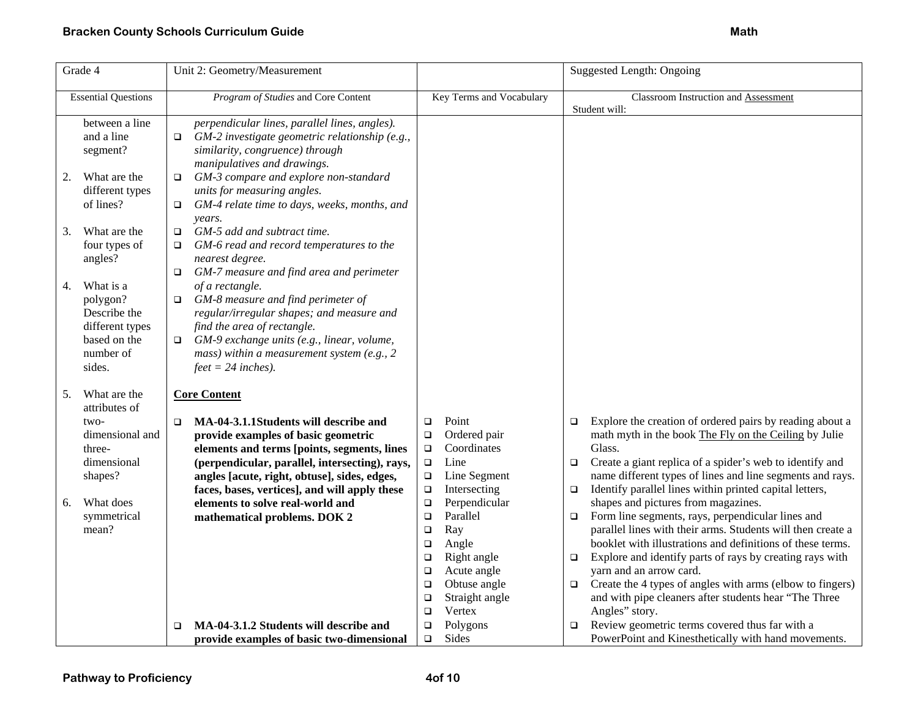| Grade 4                                                                                               | Unit 2: Geometry/Measurement                                                                                                                                                                                                                                           |                                                                                                                                                                                                               | <b>Suggested Length: Ongoing</b>                                                                                                                                                                                                                                                                                                                                                                                                                                                   |
|-------------------------------------------------------------------------------------------------------|------------------------------------------------------------------------------------------------------------------------------------------------------------------------------------------------------------------------------------------------------------------------|---------------------------------------------------------------------------------------------------------------------------------------------------------------------------------------------------------------|------------------------------------------------------------------------------------------------------------------------------------------------------------------------------------------------------------------------------------------------------------------------------------------------------------------------------------------------------------------------------------------------------------------------------------------------------------------------------------|
| <b>Essential Questions</b>                                                                            | Program of Studies and Core Content                                                                                                                                                                                                                                    | Key Terms and Vocabulary                                                                                                                                                                                      | Classroom Instruction and Assessment<br>Student will:                                                                                                                                                                                                                                                                                                                                                                                                                              |
| between a line<br>and a line<br>segment?                                                              | perpendicular lines, parallel lines, angles).<br>$GM-2$ investigate geometric relationship (e.g.,<br>$\Box$<br>similarity, congruence) through<br>manipulatives and drawings.                                                                                          |                                                                                                                                                                                                               |                                                                                                                                                                                                                                                                                                                                                                                                                                                                                    |
| What are the<br>2.<br>different types<br>of lines?                                                    | GM-3 compare and explore non-standard<br>$\Box$<br>units for measuring angles.<br>GM-4 relate time to days, weeks, months, and<br>$\Box$<br>years.                                                                                                                     |                                                                                                                                                                                                               |                                                                                                                                                                                                                                                                                                                                                                                                                                                                                    |
| What are the<br>3.<br>four types of<br>angles?                                                        | GM-5 add and subtract time.<br>$\Box$<br>GM-6 read and record temperatures to the<br>□<br>nearest degree.<br>GM-7 measure and find area and perimeter<br>$\Box$                                                                                                        |                                                                                                                                                                                                               |                                                                                                                                                                                                                                                                                                                                                                                                                                                                                    |
| What is a<br>4.<br>polygon?<br>Describe the<br>different types<br>based on the<br>number of<br>sides. | of a rectangle.<br>GM-8 measure and find perimeter of<br>$\Box$<br>regular/irregular shapes; and measure and<br>find the area of rectangle.<br>GM-9 exchange units (e.g., linear, volume,<br>□<br>mass) within a measurement system (e.g., $2$<br>$feet = 24$ inches). |                                                                                                                                                                                                               |                                                                                                                                                                                                                                                                                                                                                                                                                                                                                    |
| 5.<br>What are the<br>attributes of<br>two-                                                           | <b>Core Content</b><br>MA-04-3.1.1Students will describe and<br>$\Box$                                                                                                                                                                                                 | Point<br>$\Box$                                                                                                                                                                                               | Explore the creation of ordered pairs by reading about a<br>$\Box$                                                                                                                                                                                                                                                                                                                                                                                                                 |
| dimensional and<br>three-<br>dimensional<br>shapes?                                                   | provide examples of basic geometric<br>elements and terms [points, segments, lines<br>(perpendicular, parallel, intersecting), rays,<br>angles [acute, right, obtuse], sides, edges,<br>faces, bases, vertices], and will apply these                                  | Ordered pair<br>$\Box$<br>Coordinates<br>$\Box$<br>Line<br>$\Box$<br>Line Segment<br>$\Box$<br>Intersecting<br>$\Box$                                                                                         | math myth in the book The Fly on the Ceiling by Julie<br>Glass.<br>Create a giant replica of a spider's web to identify and<br>$\Box$<br>name different types of lines and line segments and rays.<br>Identify parallel lines within printed capital letters,<br>$\Box$                                                                                                                                                                                                            |
| What does<br>6.<br>symmetrical<br>mean?                                                               | elements to solve real-world and<br>mathematical problems. DOK 2                                                                                                                                                                                                       | Perpendicular<br>$\Box$<br>Parallel<br>$\Box$<br>Ray<br>$\Box$<br>Angle<br>$\Box$<br>Right angle<br>$\Box$<br>Acute angle<br>$\Box$<br>Obtuse angle<br>$\Box$<br>Straight angle<br>$\Box$<br>Vertex<br>$\Box$ | shapes and pictures from magazines.<br>Form line segments, rays, perpendicular lines and<br>$\Box$<br>parallel lines with their arms. Students will then create a<br>booklet with illustrations and definitions of these terms.<br>Explore and identify parts of rays by creating rays with<br>$\Box$<br>yarn and an arrow card.<br>Create the 4 types of angles with arms (elbow to fingers)<br>$\Box$<br>and with pipe cleaners after students hear "The Three<br>Angles" story. |
|                                                                                                       | MA-04-3.1.2 Students will describe and<br>$\Box$<br>provide examples of basic two-dimensional                                                                                                                                                                          | Polygons<br>$\Box$<br>Sides<br>$\Box$                                                                                                                                                                         | Review geometric terms covered thus far with a<br>$\Box$<br>PowerPoint and Kinesthetically with hand movements.                                                                                                                                                                                                                                                                                                                                                                    |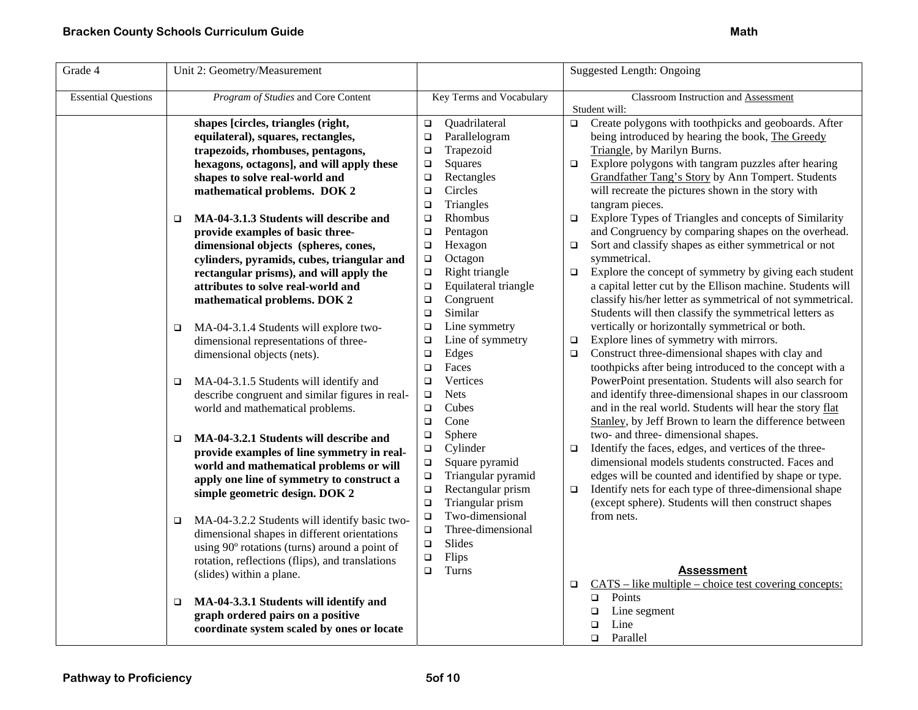| Grade 4                    | Unit 2: Geometry/Measurement                            |                                | <b>Suggested Length: Ongoing</b>                                  |
|----------------------------|---------------------------------------------------------|--------------------------------|-------------------------------------------------------------------|
| <b>Essential Questions</b> | Program of Studies and Core Content                     | Key Terms and Vocabulary       | Classroom Instruction and Assessment                              |
|                            |                                                         |                                | Student will:                                                     |
|                            | shapes [circles, triangles (right,                      | Quadrilateral<br>$\Box$        | Create polygons with toothpicks and geoboards. After<br>$\Box$    |
|                            | equilateral), squares, rectangles,                      | Parallelogram<br>$\Box$        | being introduced by hearing the book, The Greedy                  |
|                            | trapezoids, rhombuses, pentagons,                       | Trapezoid<br>$\Box$            | Triangle, by Marilyn Burns.                                       |
|                            | hexagons, octagons], and will apply these               | Squares<br>$\Box$              | Explore polygons with tangram puzzles after hearing<br>$\Box$     |
|                            | shapes to solve real-world and                          | Rectangles<br>$\Box$           | Grandfather Tang's Story by Ann Tompert. Students                 |
|                            | mathematical problems. DOK 2                            | Circles<br>$\Box$              | will recreate the pictures shown in the story with                |
|                            |                                                         | Triangles<br>$\Box$            | tangram pieces.                                                   |
|                            | MA-04-3.1.3 Students will describe and<br>$\Box$        | Rhombus<br>$\Box$              | Explore Types of Triangles and concepts of Similarity<br>$\Box$   |
|                            | provide examples of basic three-                        | Pentagon<br>$\Box$             | and Congruency by comparing shapes on the overhead.               |
|                            | dimensional objects (spheres, cones,                    | Hexagon<br>$\Box$              | Sort and classify shapes as either symmetrical or not<br>$\Box$   |
|                            | cylinders, pyramids, cubes, triangular and              | Octagon<br>$\Box$              | symmetrical.                                                      |
|                            | rectangular prisms), and will apply the                 | Right triangle<br>$\Box$       | Explore the concept of symmetry by giving each student<br>$\Box$  |
|                            | attributes to solve real-world and                      | Equilateral triangle<br>$\Box$ | a capital letter cut by the Ellison machine. Students will        |
|                            | mathematical problems. DOK 2                            | Congruent<br>$\Box$            | classify his/her letter as symmetrical of not symmetrical.        |
|                            |                                                         | Similar<br>$\Box$              | Students will then classify the symmetrical letters as            |
|                            | MA-04-3.1.4 Students will explore two-<br>$\Box$        | Line symmetry<br>❏             | vertically or horizontally symmetrical or both.                   |
|                            | dimensional representations of three-                   | Line of symmetry<br>$\Box$     | Explore lines of symmetry with mirrors.<br>$\Box$                 |
|                            | dimensional objects (nets).                             | Edges<br>$\Box$                | Construct three-dimensional shapes with clay and<br>$\Box$        |
|                            |                                                         | $\Box$<br>Faces                | toothpicks after being introduced to the concept with a           |
|                            | MA-04-3.1.5 Students will identify and<br>$\Box$        | Vertices<br>$\Box$             | PowerPoint presentation. Students will also search for            |
|                            | describe congruent and similar figures in real-         | <b>Nets</b><br>$\Box$          | and identify three-dimensional shapes in our classroom            |
|                            | world and mathematical problems.                        | Cubes<br>$\Box$                | and in the real world. Students will hear the story flat          |
|                            |                                                         | Cone<br>$\Box$                 | Stanley, by Jeff Brown to learn the difference between            |
|                            | MA-04-3.2.1 Students will describe and<br>$\Box$        | Sphere<br>$\Box$               | two- and three- dimensional shapes.                               |
|                            | provide examples of line symmetry in real-              | $\Box$<br>Cylinder             | Identify the faces, edges, and vertices of the three-<br>$\Box$   |
|                            | world and mathematical problems or will                 | $\Box$<br>Square pyramid       | dimensional models students constructed. Faces and                |
|                            | apply one line of symmetry to construct a               | $\Box$<br>Triangular pyramid   | edges will be counted and identified by shape or type.            |
|                            | simple geometric design. DOK 2                          | Rectangular prism<br>$\Box$    | Identify nets for each type of three-dimensional shape<br>$\Box$  |
|                            |                                                         | Triangular prism<br>$\Box$     | (except sphere). Students will then construct shapes              |
|                            | MA-04-3.2.2 Students will identify basic two-<br>$\Box$ | Two-dimensional<br>$\Box$      | from nets.                                                        |
|                            | dimensional shapes in different orientations            | $\Box$<br>Three-dimensional    |                                                                   |
|                            | using 90° rotations (turns) around a point of           | $\Box$<br>Slides               |                                                                   |
|                            | rotation, reflections (flips), and translations         | $\Box$<br>Flips                |                                                                   |
|                            | (slides) within a plane.                                | Turns<br>$\Box$                | <b>Assessment</b>                                                 |
|                            |                                                         |                                | $CATS - like multiple - choice test covering concepts:$<br>$\Box$ |
|                            | MA-04-3.3.1 Students will identify and<br>□             |                                | Points<br>$\Box$                                                  |
|                            | graph ordered pairs on a positive                       |                                | $\Box$<br>Line segment                                            |
|                            | coordinate system scaled by ones or locate              |                                | Line<br>$\Box$                                                    |
|                            |                                                         |                                | Parallel<br>$\Box$                                                |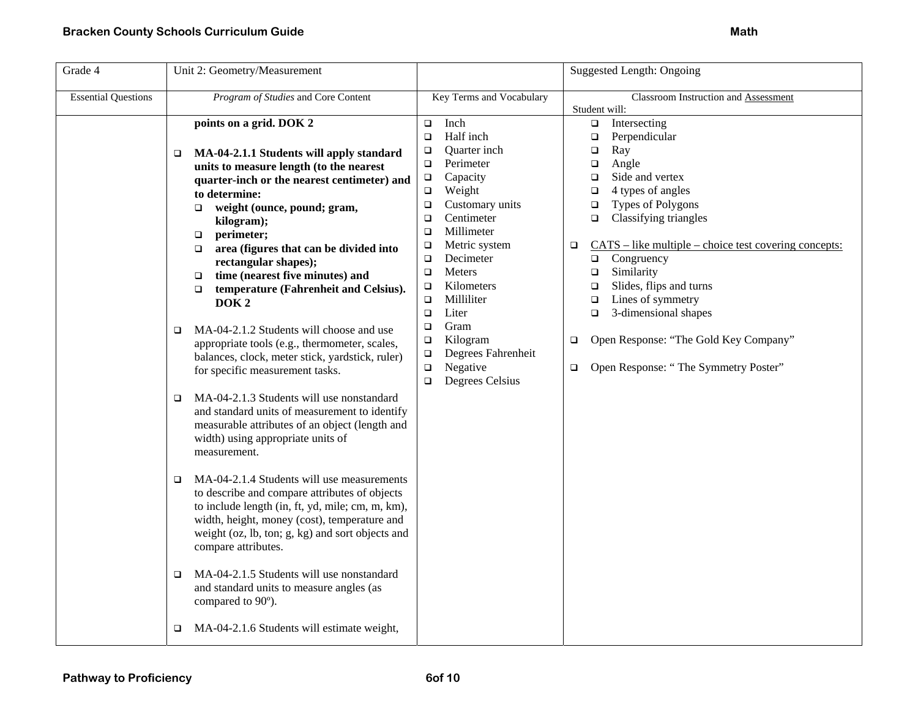| Grade 4                    | Unit 2: Geometry/Measurement                                                                                                                                                                                                                                                                                                                                                                                                                                                                                                                                                                                                                                                                                                                                                                                                                                                                                                                                                                                                                                                                                                                                                                                                                                   |                                                                                                                                                                                                                                                                                                                                                                                                                                          | <b>Suggested Length: Ongoing</b>                                                                                                                                                                                                                                                                                                                                                                                                                                                          |  |  |  |
|----------------------------|----------------------------------------------------------------------------------------------------------------------------------------------------------------------------------------------------------------------------------------------------------------------------------------------------------------------------------------------------------------------------------------------------------------------------------------------------------------------------------------------------------------------------------------------------------------------------------------------------------------------------------------------------------------------------------------------------------------------------------------------------------------------------------------------------------------------------------------------------------------------------------------------------------------------------------------------------------------------------------------------------------------------------------------------------------------------------------------------------------------------------------------------------------------------------------------------------------------------------------------------------------------|------------------------------------------------------------------------------------------------------------------------------------------------------------------------------------------------------------------------------------------------------------------------------------------------------------------------------------------------------------------------------------------------------------------------------------------|-------------------------------------------------------------------------------------------------------------------------------------------------------------------------------------------------------------------------------------------------------------------------------------------------------------------------------------------------------------------------------------------------------------------------------------------------------------------------------------------|--|--|--|
| <b>Essential Questions</b> | Program of Studies and Core Content                                                                                                                                                                                                                                                                                                                                                                                                                                                                                                                                                                                                                                                                                                                                                                                                                                                                                                                                                                                                                                                                                                                                                                                                                            | Key Terms and Vocabulary                                                                                                                                                                                                                                                                                                                                                                                                                 | Classroom Instruction and Assessment                                                                                                                                                                                                                                                                                                                                                                                                                                                      |  |  |  |
|                            | points on a grid. DOK 2                                                                                                                                                                                                                                                                                                                                                                                                                                                                                                                                                                                                                                                                                                                                                                                                                                                                                                                                                                                                                                                                                                                                                                                                                                        | Inch<br>$\Box$<br>Half inch<br>$\Box$                                                                                                                                                                                                                                                                                                                                                                                                    | Student will:<br>Intersecting<br>$\Box$<br>Perpendicular<br>$\Box$                                                                                                                                                                                                                                                                                                                                                                                                                        |  |  |  |
|                            | MA-04-2.1.1 Students will apply standard<br>$\Box$<br>units to measure length (to the nearest<br>quarter-inch or the nearest centimeter) and<br>to determine:<br>weight (ounce, pound; gram,<br>$\Box$<br>kilogram);<br>perimeter;<br>$\Box$<br>area (figures that can be divided into<br>$\Box$<br>rectangular shapes);<br>time (nearest five minutes) and<br>$\Box$<br>temperature (Fahrenheit and Celsius).<br>$\Box$<br>DOK <sub>2</sub><br>MA-04-2.1.2 Students will choose and use<br>$\Box$<br>appropriate tools (e.g., thermometer, scales,<br>balances, clock, meter stick, yardstick, ruler)<br>for specific measurement tasks.<br>MA-04-2.1.3 Students will use nonstandard<br>$\Box$<br>and standard units of measurement to identify<br>measurable attributes of an object (length and<br>width) using appropriate units of<br>measurement.<br>MA-04-2.1.4 Students will use measurements<br>□<br>to describe and compare attributes of objects<br>to include length (in, ft, yd, mile; cm, m, km),<br>width, height, money (cost), temperature and<br>weight (oz, lb, ton; g, kg) and sort objects and<br>compare attributes.<br>MA-04-2.1.5 Students will use nonstandard<br>□<br>and standard units to measure angles (as<br>compared to 90°). | Quarter inch<br>$\Box$<br>Perimeter<br>$\Box$<br>Capacity<br>$\Box$<br>Weight<br>$\Box$<br>Customary units<br>$\Box$<br>Centimeter<br>$\Box$<br>Millimeter<br>$\Box$<br>Metric system<br>$\Box$<br>Decimeter<br>$\Box$<br>Meters<br>$\Box$<br>Kilometers<br>$\Box$<br>Milliliter<br>$\Box$<br>Liter<br>$\Box$<br>Gram<br>$\Box$<br>Kilogram<br>$\Box$<br>Degrees Fahrenheit<br>$\Box$<br>Negative<br>$\Box$<br>Degrees Celsius<br>$\Box$ | Ray<br>$\Box$<br>Angle<br>□<br>Side and vertex<br>$\Box$<br>4 types of angles<br>$\Box$<br>Types of Polygons<br>$\Box$<br>Classifying triangles<br>$\Box$<br>$CATS - like multiple - choice test covering concepts:$<br>$\Box$<br>Congruency<br>$\Box$<br>Similarity<br>$\Box$<br>Slides, flips and turns<br>$\Box$<br>Lines of symmetry<br>$\Box$<br>3-dimensional shapes<br>$\Box$<br>Open Response: "The Gold Key Company"<br>$\Box$<br>Open Response: "The Symmetry Poster"<br>$\Box$ |  |  |  |
|                            | MA-04-2.1.6 Students will estimate weight,<br>▫                                                                                                                                                                                                                                                                                                                                                                                                                                                                                                                                                                                                                                                                                                                                                                                                                                                                                                                                                                                                                                                                                                                                                                                                                |                                                                                                                                                                                                                                                                                                                                                                                                                                          |                                                                                                                                                                                                                                                                                                                                                                                                                                                                                           |  |  |  |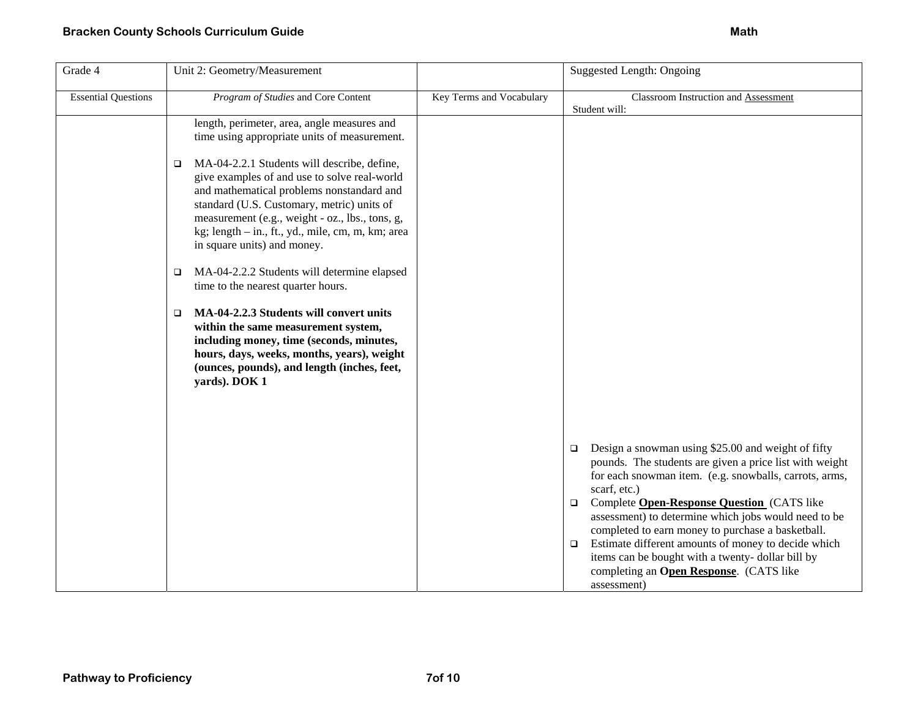| Grade 4                    | Unit 2: Geometry/Measurement                                                                                                                                                                                                                                                                                                            |                          | <b>Suggested Length: Ongoing</b>                                                                                                                                                                  |
|----------------------------|-----------------------------------------------------------------------------------------------------------------------------------------------------------------------------------------------------------------------------------------------------------------------------------------------------------------------------------------|--------------------------|---------------------------------------------------------------------------------------------------------------------------------------------------------------------------------------------------|
| <b>Essential Questions</b> | Program of Studies and Core Content                                                                                                                                                                                                                                                                                                     | Key Terms and Vocabulary | Classroom Instruction and Assessment<br>Student will:                                                                                                                                             |
|                            | length, perimeter, area, angle measures and<br>time using appropriate units of measurement.                                                                                                                                                                                                                                             |                          |                                                                                                                                                                                                   |
|                            | MA-04-2.2.1 Students will describe, define,<br>$\Box$<br>give examples of and use to solve real-world<br>and mathematical problems nonstandard and<br>standard (U.S. Customary, metric) units of<br>measurement (e.g., weight - oz., lbs., tons, g,<br>kg; length - in., ft., yd., mile, cm, m, km; area<br>in square units) and money. |                          |                                                                                                                                                                                                   |
|                            | MA-04-2.2.2 Students will determine elapsed<br>$\Box$<br>time to the nearest quarter hours.                                                                                                                                                                                                                                             |                          |                                                                                                                                                                                                   |
|                            | MA-04-2.2.3 Students will convert units<br>$\Box$<br>within the same measurement system,<br>including money, time (seconds, minutes,<br>hours, days, weeks, months, years), weight<br>(ounces, pounds), and length (inches, feet,<br>yards). DOK 1                                                                                      |                          |                                                                                                                                                                                                   |
|                            |                                                                                                                                                                                                                                                                                                                                         |                          |                                                                                                                                                                                                   |
|                            |                                                                                                                                                                                                                                                                                                                                         |                          | Design a snowman using \$25.00 and weight of fifty<br>$\Box$<br>pounds. The students are given a price list with weight<br>for each snowman item. (e.g. snowballs, carrots, arms,<br>scarf, etc.) |
|                            |                                                                                                                                                                                                                                                                                                                                         |                          | Complete Open-Response Question (CATS like<br>$\Box$<br>assessment) to determine which jobs would need to be<br>completed to earn money to purchase a basketball.                                 |
|                            |                                                                                                                                                                                                                                                                                                                                         |                          | Estimate different amounts of money to decide which<br>$\Box$<br>items can be bought with a twenty-dollar bill by<br>completing an Open Response. (CATS like<br>assessment)                       |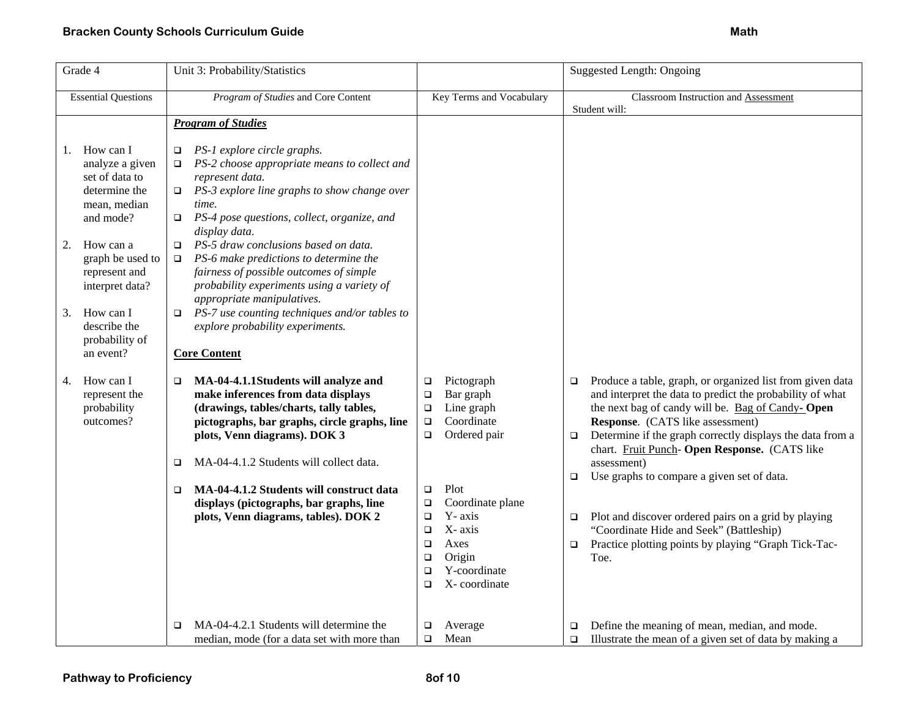| Grade 4  |                                                                                                           | Unit 3: Probability/Statistics                                                                                                                                                                                                                                                                                                                                                            | Suggested Length: Ongoing                                                                                       |                                                                                                                                                       |                                                |                                                                                                                                                                                                                                                                                                                                                                                                                                                                                                                                                                     |
|----------|-----------------------------------------------------------------------------------------------------------|-------------------------------------------------------------------------------------------------------------------------------------------------------------------------------------------------------------------------------------------------------------------------------------------------------------------------------------------------------------------------------------------|-----------------------------------------------------------------------------------------------------------------|-------------------------------------------------------------------------------------------------------------------------------------------------------|------------------------------------------------|---------------------------------------------------------------------------------------------------------------------------------------------------------------------------------------------------------------------------------------------------------------------------------------------------------------------------------------------------------------------------------------------------------------------------------------------------------------------------------------------------------------------------------------------------------------------|
|          | <b>Essential Questions</b>                                                                                | Program of Studies and Core Content                                                                                                                                                                                                                                                                                                                                                       |                                                                                                                 | Key Terms and Vocabulary                                                                                                                              |                                                | Classroom Instruction and Assessment<br>Student will:                                                                                                                                                                                                                                                                                                                                                                                                                                                                                                               |
|          |                                                                                                           | <b>Program of Studies</b>                                                                                                                                                                                                                                                                                                                                                                 |                                                                                                                 |                                                                                                                                                       |                                                |                                                                                                                                                                                                                                                                                                                                                                                                                                                                                                                                                                     |
| 1.<br>2. | How can I<br>analyze a given<br>set of data to<br>determine the<br>mean, median<br>and mode?<br>How can a | PS-1 explore circle graphs.<br>□<br>PS-2 choose appropriate means to collect and<br>represent data.<br>$\Box$ PS-3 explore line graphs to show change over<br>time.<br>PS-4 pose questions, collect, organize, and<br>$\Box$<br>display data.<br>PS-5 draw conclusions based on data.<br>$\Box$                                                                                           |                                                                                                                 |                                                                                                                                                       |                                                |                                                                                                                                                                                                                                                                                                                                                                                                                                                                                                                                                                     |
|          | graph be used to<br>represent and<br>interpret data?                                                      | PS-6 make predictions to determine the<br>$\Box$<br>fairness of possible outcomes of simple<br>probability experiments using a variety of<br>appropriate manipulatives.                                                                                                                                                                                                                   |                                                                                                                 |                                                                                                                                                       |                                                |                                                                                                                                                                                                                                                                                                                                                                                                                                                                                                                                                                     |
| 3.       | How can I<br>describe the<br>probability of<br>an event?                                                  | $\Box$ PS-7 use counting techniques and/or tables to<br>explore probability experiments.<br><b>Core Content</b>                                                                                                                                                                                                                                                                           |                                                                                                                 |                                                                                                                                                       |                                                |                                                                                                                                                                                                                                                                                                                                                                                                                                                                                                                                                                     |
| 4.       | How can I<br>represent the<br>probability<br>outcomes?                                                    | MA-04-4.1.1Students will analyze and<br>make inferences from data displays<br>(drawings, tables/charts, tally tables,<br>pictographs, bar graphs, circle graphs, line<br>plots, Venn diagrams). DOK 3<br>MA-04-4.1.2 Students will collect data.<br>□<br>MA-04-4.1.2 Students will construct data<br>□<br>displays (pictographs, bar graphs, line<br>plots, Venn diagrams, tables). DOK 2 | $\Box$<br>$\Box$<br>$\Box$<br>$\Box$<br>$\Box$<br>$\Box$<br>$\Box$<br>$\Box$<br>$\Box$<br>$\Box$<br>$\Box$<br>□ | Pictograph<br>Bar graph<br>Line graph<br>Coordinate<br>Ordered pair<br>Plot<br>Coordinate plane<br>Y-axis<br>X-axis<br>Axes<br>Origin<br>Y-coordinate | $\Box$<br>$\Box$<br>$\Box$<br>$\Box$<br>$\Box$ | Produce a table, graph, or organized list from given data<br>and interpret the data to predict the probability of what<br>the next bag of candy will be. Bag of Candy-Open<br><b>Response.</b> (CATS like assessment)<br>Determine if the graph correctly displays the data from a<br>chart. Fruit Punch- Open Response. (CATS like<br>assessment)<br>Use graphs to compare a given set of data.<br>Plot and discover ordered pairs on a grid by playing<br>"Coordinate Hide and Seek" (Battleship)<br>Practice plotting points by playing "Graph Tick-Tac-<br>Toe. |
|          |                                                                                                           | MA-04-4.2.1 Students will determine the<br>□                                                                                                                                                                                                                                                                                                                                              | ◻<br>$\Box$<br>$\Box$                                                                                           | X-coordinate<br>Average<br>Mean                                                                                                                       | □                                              | Define the meaning of mean, median, and mode.                                                                                                                                                                                                                                                                                                                                                                                                                                                                                                                       |
|          |                                                                                                           | median, mode (for a data set with more than                                                                                                                                                                                                                                                                                                                                               |                                                                                                                 |                                                                                                                                                       | $\Box$                                         | Illustrate the mean of a given set of data by making a                                                                                                                                                                                                                                                                                                                                                                                                                                                                                                              |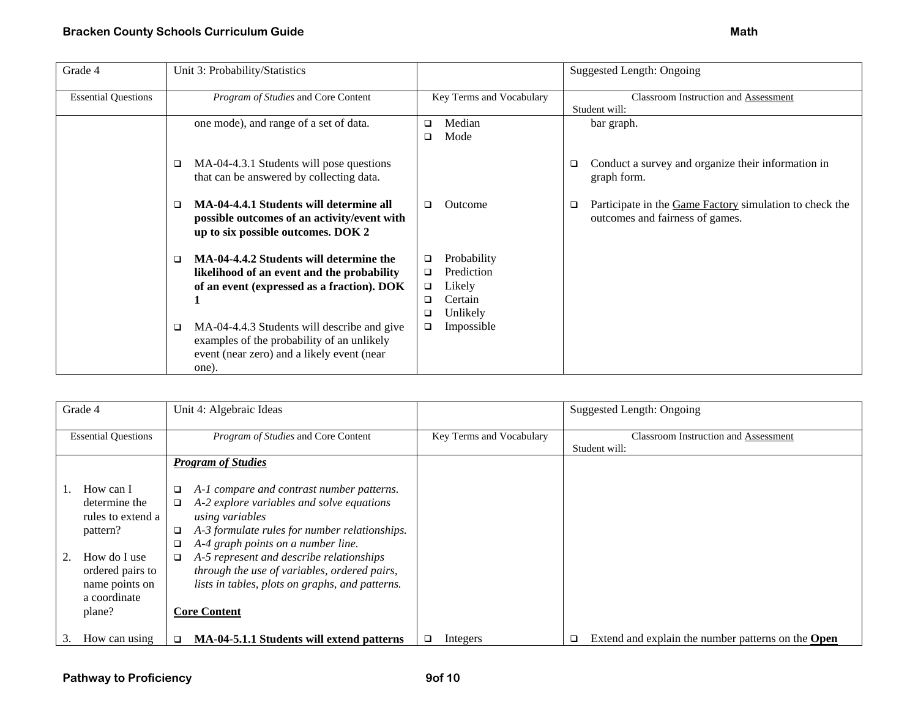| Grade 4                    | Unit 3: Probability/Statistics                                                                                                                             |                                                                                          | Suggested Length: Ongoing                                                                       |
|----------------------------|------------------------------------------------------------------------------------------------------------------------------------------------------------|------------------------------------------------------------------------------------------|-------------------------------------------------------------------------------------------------|
| <b>Essential Questions</b> | Program of Studies and Core Content                                                                                                                        | Key Terms and Vocabulary                                                                 | Classroom Instruction and Assessment                                                            |
|                            |                                                                                                                                                            |                                                                                          | Student will:                                                                                   |
|                            | one mode), and range of a set of data.                                                                                                                     | Median<br>□                                                                              | bar graph.                                                                                      |
|                            |                                                                                                                                                            | Mode<br>□                                                                                |                                                                                                 |
|                            | MA-04-4.3.1 Students will pose questions<br>$\Box$<br>that can be answered by collecting data.                                                             |                                                                                          | Conduct a survey and organize their information in<br>□<br>graph form.                          |
|                            | MA-04-4.4.1 Students will determine all<br>□<br>possible outcomes of an activity/event with<br>up to six possible outcomes. DOK 2                          | Outcome<br>□                                                                             | Participate in the Game Factory simulation to check the<br>□<br>outcomes and fairness of games. |
|                            | MA-04-4.4.2 Students will determine the<br>$\Box$<br>likelihood of an event and the probability<br>of an event (expressed as a fraction). DOK              | Probability<br>□<br>Prediction<br>□<br>Likely<br>$\Box$<br>Certain<br>□<br>Unlikely<br>◻ |                                                                                                 |
|                            | MA-04-4.4.3 Students will describe and give<br>$\Box$<br>examples of the probability of an unlikely<br>event (near zero) and a likely event (near<br>one). | Impossible<br>□                                                                          |                                                                                                 |

| Grade 4                                                                                                                                     | Unit 4: Algebraic Ideas                                                                                                                                                                                                                                                                                                                                                |                          | Suggested Length: Ongoing                                      |
|---------------------------------------------------------------------------------------------------------------------------------------------|------------------------------------------------------------------------------------------------------------------------------------------------------------------------------------------------------------------------------------------------------------------------------------------------------------------------------------------------------------------------|--------------------------|----------------------------------------------------------------|
| <b>Essential Questions</b>                                                                                                                  | Program of Studies and Core Content                                                                                                                                                                                                                                                                                                                                    | Key Terms and Vocabulary | <b>Classroom Instruction and Assessment</b><br>Student will:   |
|                                                                                                                                             | <b>Program of Studies</b>                                                                                                                                                                                                                                                                                                                                              |                          |                                                                |
| How can I<br>determine the<br>rules to extend a<br>pattern?<br>How do I use<br>ordered pairs to<br>name points on<br>a coordinate<br>plane? | A-1 compare and contrast number patterns.<br>A-2 explore variables and solve equations<br>using variables<br>A-3 formulate rules for number relationships.<br>A-4 graph points on a number line.<br>A-5 represent and describe relationships<br>through the use of variables, ordered pairs,<br>lists in tables, plots on graphs, and patterns.<br><b>Core Content</b> |                          |                                                                |
| How can using                                                                                                                               | MA-04-5.1.1 Students will extend patterns<br>$\Box$                                                                                                                                                                                                                                                                                                                    | Integers                 | Extend and explain the number patterns on the <b>Open</b><br>◻ |